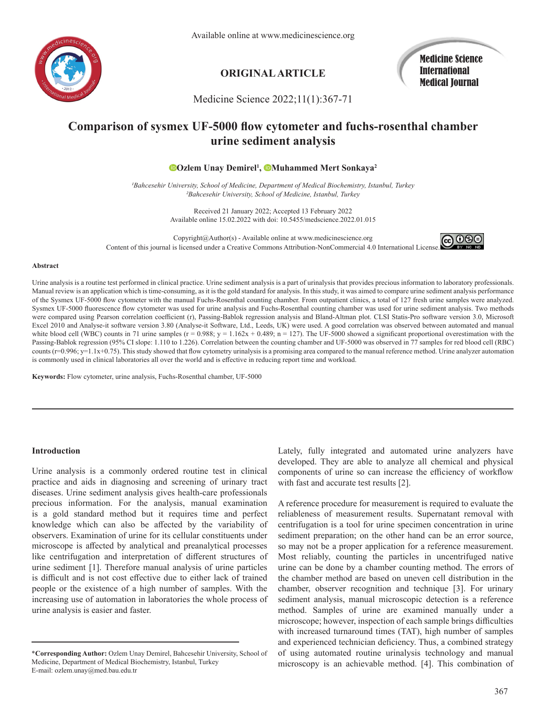

Available online at www.medicinescience.org

## **ORIGINAL ARTICLE**

Medicine Science International Medical Journal

Medicine Science 2022;11(1):367-71

# **Comparison of sysmex UF-5000 flow cytometer and fuchs-rosenthal chamber urine sediment analysis**

## **Ozlem Unay Demirel<sup>1</sup> , Muhammed Mert Sonkaya<sup>2</sup>**

*1Bahcesehir University, School of Medicine, Department of Medical Biochemistry, Istanbul, Turkey 2Bahcesehir University, School of Medicine, Istanbul, Turkey*

> Received 21 January 2022; Accepted 13 February 2022 Available online 15.02.2022 with doi: 10.5455/medscience.2022.01.015

Copyright@Author(s) - Available online at www.medicinescience.org **@0®** Content of this journal is licensed under a Creative Commons Attribution-NonCommercial 4.0 International License[.](https://creativecommons.org/licenses/by-nc-nd/4.0/)

#### **Abstract**

Urine analysis is a routine test performed in clinical practice. Urine sediment analysis is a part of urinalysis that provides precious information to laboratory professionals. Manual review is an application which is time-consuming, as it is the gold standard for analysis. In this study, it was aimed to compare urine sediment analysis performance of the Sysmex UF-5000 flow cytometer with the manual Fuchs-Rosenthal counting chamber. From outpatient clinics, a total of 127 fresh urine samples were analyzed. Sysmex UF-5000 fluorescence flow cytometer was used for urine analysis and Fuchs-Rosenthal counting chamber was used for urine sediment analysis. Two methods were compared using Pearson correlation coefficient (r), Passing-Bablok regression analysis and Bland-Altman plot. CLSI Statis-Pro software version 3.0, Microsoft Excel 2010 and Analyse-it software version 3.80 (Analyse-it Software, Ltd., Leeds, UK) were used. A good correlation was observed between automated and manual white blood cell (WBC) counts in 71 urine samples  $(r = 0.988; y = 1.162x + 0.489; n = 127)$ . The UF-5000 showed a significant proportional overestimation with the Passing-Bablok regression (95% CI slope: 1.110 to 1.226). Correlation between the counting chamber and UF-5000 was observed in 77 samples for red blood cell (RBC) counts (r=0.996; y=1.1x+0.75). This study showed that flow cytometry urinalysis is a promising area compared to the manual reference method. Urine analyzer automation is commonly used in clinical laboratories all over the world and is effective in reducing report time and workload.

**Keywords:** Flow cytometer, urine analysis, Fuchs-Rosenthal chamber, UF-5000

#### **Introduction**

Urine analysis is a commonly ordered routine test in clinical practice and aids in diagnosing and screening of urinary tract diseases. Urine sediment analysis gives health-care professionals precious information. For the analysis, manual examination is a gold standard method but it requires time and perfect knowledge which can also be affected by the variability of observers. Examination of urine for its cellular constituents under microscope is affected by analytical and preanalytical processes like centrifugation and interpretation of different structures of urine sediment [1]. Therefore manual analysis of urine particles is difficult and is not cost effective due to either lack of trained people or the existence of a high number of samples. With the increasing use of automation in laboratories the whole process of urine analysis is easier and faster.

Lately, fully integrated and automated urine analyzers have developed. They are able to analyze all chemical and physical components of urine so can increase the efficiency of workflow with fast and accurate test results [2].

A reference procedure for measurement is required to evaluate the reliableness of measurement results. Supernatant removal with centrifugation is a tool for urine specimen concentration in urine sediment preparation; on the other hand can be an error source, so may not be a proper application for a reference measurement. Most reliably, counting the particles in uncentrifuged native urine can be done by a chamber counting method. The errors of the chamber method are based on uneven cell distribution in the chamber, observer recognition and technique [3]. For urinary sediment analysis, manual microscopic detection is a reference method. Samples of urine are examined manually under a microscope; however, inspection of each sample brings difficulties with increased turnaround times (TAT), high number of samples and experienced technician deficiency. Thus, a combined strategy of using automated routine urinalysis technology and manual microscopy is an achievable method. [4]. This combination of

<sup>\*</sup>**Corresponding Author:** Ozlem Unay Demirel, Bahcesehir University, School of Medicine, Department of Medical Biochemistry, Istanbul, Turkey E-mail: ozlem.unay@med.bau.edu.tr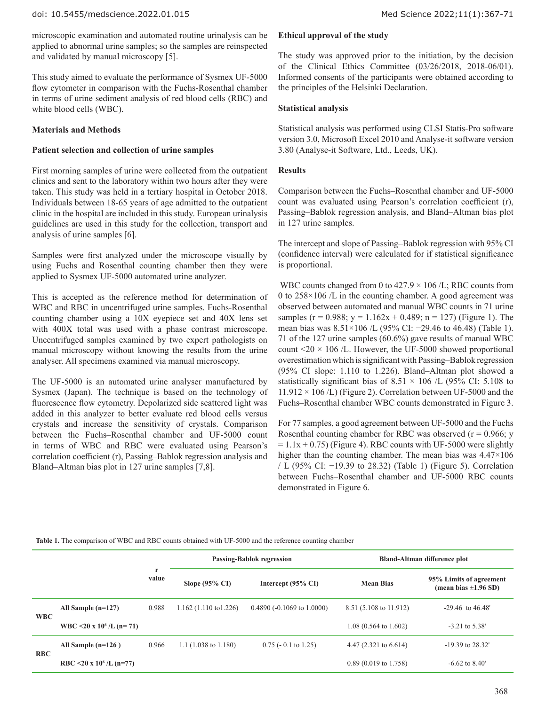microscopic examination and automated routine urinalysis can be applied to abnormal urine samples; so the samples are reinspected and validated by manual microscopy [5].

This study aimed to evaluate the performance of Sysmex UF-5000 flow cytometer in comparison with the Fuchs-Rosenthal chamber in terms of urine sediment analysis of red blood cells (RBC) and white blood cells (WBC).

## **Materials and Methods**

## **Patient selection and collection of urine samples**

First morning samples of urine were collected from the outpatient clinics and sent to the laboratory within two hours after they were taken. This study was held in a tertiary hospital in October 2018. Individuals between 18-65 years of age admitted to the outpatient clinic in the hospital are included in this study. European urinalysis guidelines are used in this study for the collection, transport and analysis of urine samples [6].

Samples were first analyzed under the microscope visually by using Fuchs and Rosenthal counting chamber then they were applied to Sysmex UF-5000 automated urine analyzer.

This is accepted as the reference method for determination of WBC and RBC in uncentrifuged urine samples. Fuchs-Rosenthal counting chamber using a 10X eyepiece set and 40X lens set with 400X total was used with a phase contrast microscope. Uncentrifuged samples examined by two expert pathologists on manual microscopy without knowing the results from the urine analyser. All specimens examined via manual microscopy.

The UF-5000 is an automated urine analyser manufactured by Sysmex (Japan). The technique is based on the technology of fluorescence flow cytometry. Depolarized side scattered light was added in this analyzer to better evaluate red blood cells versus crystals and increase the sensitivity of crystals. Comparison between the Fuchs–Rosenthal chamber and UF-5000 count in terms of WBC and RBC were evaluated using Pearson's correlation coefficient (r), Passing–Bablok regression analysis and Bland–Altman bias plot in 127 urine samples [7,8].

## **Ethical approval of the study**

The study was approved prior to the initiation, by the decision of the Clinical Ethics Committee (03/26/2018, 2018-06/01). Informed consents of the participants were obtained according to the principles of the Helsinki Declaration.

## **Statistical analysis**

Statistical analysis was performed using CLSI Statis-Pro software version 3.0, Microsoft Excel 2010 and Analyse-it software version 3.80 (Analyse-it Software, Ltd., Leeds, UK).

## **Results**

Comparison between the Fuchs–Rosenthal chamber and UF-5000 count was evaluated using Pearson's correlation coefficient (r), Passing–Bablok regression analysis, and Bland–Altman bias plot in 127 urine samples.

The intercept and slope of Passing–Bablok regression with 95% CI (confidence interval) were calculated for if statistical significance is proportional.

WBC counts changed from 0 to  $427.9 \times 106$  /L; RBC counts from 0 to 258×106 /L in the counting chamber. A good agreement was observed between automated and manual WBC counts in 71 urine samples ( $r = 0.988$ ;  $y = 1.162x + 0.489$ ;  $n = 127$ ) (Figure 1). The mean bias was 8.51×106 /L (95% CI: −29.46 to 46.48) (Table 1). 71 of the 127 urine samples (60.6%) gave results of manual WBC count  $\leq$  20  $\times$  106 /L. However, the UF-5000 showed proportional overestimation which is significant with Passing–Bablok regression (95% CI slope: 1.110 to 1.226). Bland–Altman plot showed a statistically significant bias of 8.51  $\times$  106 /L (95% CI: 5.108 to  $11.912 \times 106$  /L) (Figure 2). Correlation between UF-5000 and the Fuchs–Rosenthal chamber WBC counts demonstrated in Figure 3.

For 77 samples, a good agreement between UF-5000 and the Fuchs Rosenthal counting chamber for RBC was observed  $(r = 0.966; y)$  $= 1.1x + 0.75$ ) (Figure 4). RBC counts with UF-5000 were slightly higher than the counting chamber. The mean bias was  $4.47 \times 106$ / L (95% CI: −19.39 to 28.32) (Table 1) (Figure 5). Correlation between Fuchs–Rosenthal chamber and UF-5000 RBC counts demonstrated in Figure 6.

#### **Table 1.** The comparison of WBC and RBC counts obtained with UF-5000 and the reference counting chamber

|            |                                      |       | <b>Passing-Bablok regression</b> |                               | <b>Bland-Altman difference plot</b> |                                                      |
|------------|--------------------------------------|-------|----------------------------------|-------------------------------|-------------------------------------|------------------------------------------------------|
|            |                                      | value | Slope $(95\% \text{ CI})$        | Intercept $(95\% \text{ CI})$ | <b>Mean Bias</b>                    | 95% Limits of agreement<br>(mean bias $\pm 1.96$ SD) |
| <b>WBC</b> | All Sample $(n=127)$                 | 0.988 | $1.162(1.110 \text{ to } 1.226)$ | $0.4890 (-0.1069$ to 1.0000)  | 8.51 (5.108 to 11.912)              | $-29.46$ to $46.48'$                                 |
|            | WBC <20 x 10 <sup>6</sup> /L (n= 71) |       |                                  |                               | $1.08(0.564 \text{ to } 1.602)$     | $-3.21$ to $5.38'$                                   |
| <b>RBC</b> | All Sample $(n=126)$                 | 0.966 | 1.1 $(1.038 \text{ to } 1.180)$  | $0.75$ ( $-0.1$ to 1.25)      | 4.47 $(2.321 \text{ to } 6.614)$    | $-19.39$ to 28.32'                                   |
|            | RBC <20 x 10 <sup>6</sup> /L (n=77)  |       |                                  |                               | $0.89(0.019 \text{ to } 1.758)$     | $-6.62$ to $8.40'$                                   |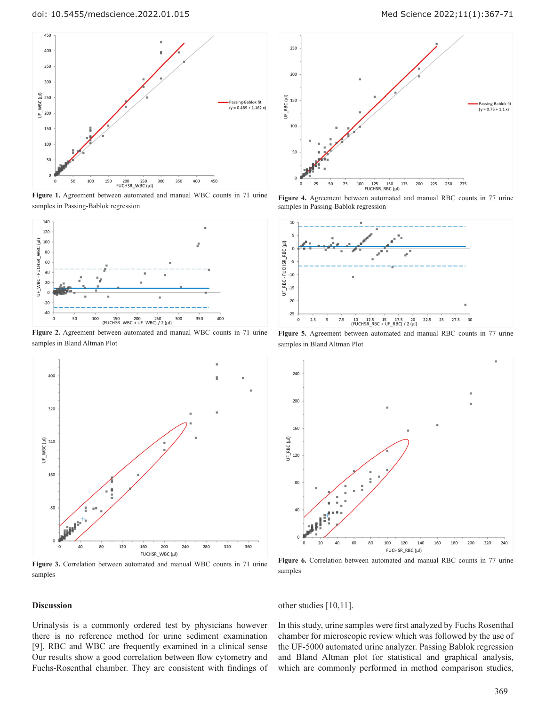

**Figure 1.** Agreement between automated and manual WBC counts in 71 urine samples in Passing-Bablok regression



**Figure 2.** Agreement between automated and manual WBC counts in 71 urine samples in Bland Altman Plot



**Figure 3.** Correlation between automated and manual WBC counts in 71 urine samples

#### **Discussion**

Urinalysis is a commonly ordered test by physicians however there is no reference method for urine sediment examination [9]. RBC and WBC are frequently examined in a clinical sense Our results show a good correlation between flow cytometry and Fuchs-Rosenthal chamber. They are consistent with findings of

doi: 10.5455/medscience.2022.01.015 Med Science 2022;11(1):367-71



**Figure 4.** Agreement between automated and manual RBC counts in 77 urine samples in Passing-Bablok regression



**Figure 5.** Agreement between automated and manual RBC counts in 77 urine samples in Bland Altman Plot



**Figure 6.** Correlation between automated and manual RBC counts in 77 urine samples

## other studies [10,11].

In this study, urine samples were first analyzed by Fuchs Rosenthal chamber for microscopic review which was followed by the use of the UF-5000 automated urine analyzer. Passing Bablok regression and Bland Altman plot for statistical and graphical analysis, which are commonly performed in method comparison studies,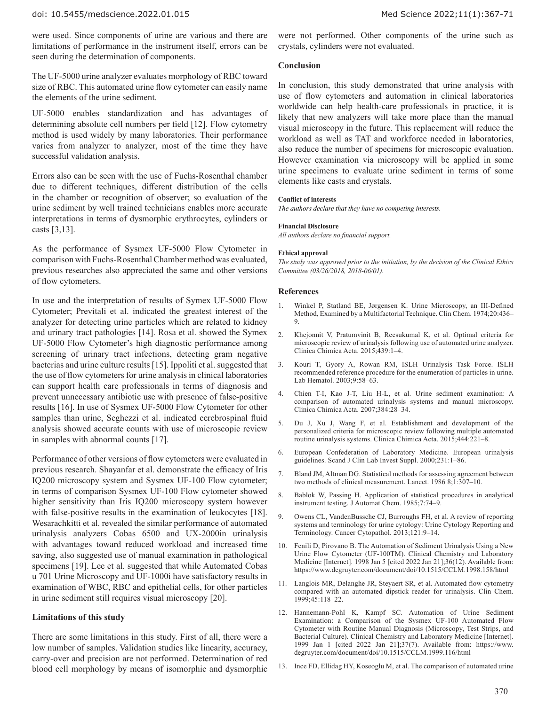were used. Since components of urine are various and there are limitations of performance in the instrument itself, errors can be seen during the determination of components.

The UF-5000 urine analyzer evaluates morphology of RBC toward size of RBC. This automated urine flow cytometer can easily name the elements of the urine sediment.

UF-5000 enables standardization and has advantages of determining absolute cell numbers per field [12]. Flow cytometry method is used widely by many laboratories. Their performance varies from analyzer to analyzer, most of the time they have successful validation analysis.

Errors also can be seen with the use of Fuchs-Rosenthal chamber due to different techniques, different distribution of the cells in the chamber or recognition of observer; so evaluation of the urine sediment by well trained technicians enables more accurate interpretations in terms of dysmorphic erythrocytes, cylinders or casts [3,13].

As the performance of Sysmex UF-5000 Flow Cytometer in comparison with Fuchs-Rosenthal Chamber method was evaluated, previous researches also appreciated the same and other versions of flow cytometers.

In use and the interpretation of results of Symex UF-5000 Flow Cytometer; Previtali et al. indicated the greatest interest of the analyzer for detecting urine particles which are related to kidney and urinary tract pathologies [14]. Rosa et al. showed the Symex UF-5000 Flow Cytometer's high diagnostic performance among screening of urinary tract infections, detecting gram negative bacterias and urine culture results [15]. Ippoliti et al. suggested that the use of flow cytometers for urine analysis in clinical laboratories can support health care professionals in terms of diagnosis and prevent unnecessary antibiotic use with presence of false-positive results [16]. In use of Sysmex UF-5000 Flow Cytometer for other samples than urine, Seghezzi et al. indicated cerebrospinal fluid analysis showed accurate counts with use of microscopic review in samples with abnormal counts [17].

Performance of other versions of flow cytometers were evaluated in previous research. Shayanfar et al. demonstrate the efficacy of Iris IQ200 microscopy system and Sysmex UF-100 Flow cytometer; in terms of comparison Sysmex UF-100 Flow cytometer showed higher sensitivity than Iris IQ200 microscopy system however with false-positive results in the examination of leukocytes [18]. Wesarachkitti et al. revealed the similar performance of automated urinalysis analyzers Cobas 6500 and UX-2000in urinalysis with advantages toward reduced workload and increased time saving, also suggested use of manual examination in pathological specimens [19]. Lee et al. suggested that while Automated Cobas u 701 Urine Microscopy and UF-1000i have satisfactory results in examination of WBC, RBC and epithelial cells, for other particles in urine sediment still requires visual microscopy [20].

## **Limitations of this study**

There are some limitations in this study. First of all, there were a low number of samples. Validation studies like linearity, accuracy, carry-over and precision are not performed. Determination of red blood cell morphology by means of isomorphic and dysmorphic

were not performed. Other components of the urine such as crystals, cylinders were not evaluated.

## **Conclusion**

In conclusion, this study demonstrated that urine analysis with use of flow cytometers and automation in clinical laboratories worldwide can help health-care professionals in practice, it is likely that new analyzers will take more place than the manual visual microscopy in the future. This replacement will reduce the workload as well as TAT and workforce needed in laboratories, also reduce the number of specimens for microscopic evaluation. However examination via microscopy will be applied in some urine specimens to evaluate urine sediment in terms of some elements like casts and crystals.

#### **Conflict of interests**

*The authors declare that they have no competing interests.*

#### **Financial Disclosure**

*All authors declare no financial support.*

#### **Ethical approval**

*The study was approved prior to the initiation, by the decision of the Clinical Ethics Committee (03/26/2018, 2018-06/01).*

## **References**

- 1. Winkel P, Statland BE, Jørgensen K. Urine Microscopy, an III-Defined Method, Examined by a Multifactorial Technique. Clin Chem. 1974;20:436– 9.
- 2. Khejonnit V, Pratumvinit B, Reesukumal K, et al. Optimal criteria for microscopic review of urinalysis following use of automated urine analyzer. Clinica Chimica Acta. 2015;439:1–4.
- 3. Kouri T, Gyory A, Rowan RM, ISLH Urinalysis Task Force. ISLH recommended reference procedure for the enumeration of particles in urine. Lab Hematol. 2003;9:58–63.
- 4. Chien T-I, Kao J-T, Liu H-L, et al. Urine sediment examination: A comparison of automated urinalysis systems and manual microscopy. Clinica Chimica Acta. 2007;384:28–34.
- 5. Du J, Xu J, Wang F, et al. Establishment and development of the personalized criteria for microscopic review following multiple automated routine urinalysis systems. Clinica Chimica Acta. 2015;444:221–8.
- 6. European Confederation of Laboratory Medicine. European urinalysis guidelines. Scand J Clin Lab Invest Suppl. 2000;231:1–86.
- 7. Bland JM, Altman DG. Statistical methods for assessing agreement between two methods of clinical measurement. Lancet. 1986 8;1:307–10.
- 8. Bablok W, Passing H. Application of statistical procedures in analytical instrument testing. J Automat Chem. 1985;7:74–9.
- 9. Owens CL, VandenBussche CJ, Burroughs FH, et al. A review of reporting systems and terminology for urine cytology: Urine Cytology Reporting and Terminology. Cancer Cytopathol. 2013;121:9–14.
- 10. Fenili D, Pirovano B. The Automation of Sediment Urinalysis Using a New Urine Flow Cytometer (UF-100TM). Clinical Chemistry and Laboratory Medicine [Internet]. 1998 Jan 5 [cited 2022 Jan 21];36(12). Available from: https://www.degruyter.com/document/doi/10.1515/CCLM.1998.158/html
- 11. Langlois MR, Delanghe JR, Steyaert SR, et al. Automated flow cytometry compared with an automated dipstick reader for urinalysis. Clin Chem. 1999;45:118–22.
- 12. Hannemann-Pohl K, Kampf SC. Automation of Urine Sediment Examination: a Comparison of the Sysmex UF-100 Automated Flow Cytometer with Routine Manual Diagnosis (Microscopy, Test Strips, and Bacterial Culture). Clinical Chemistry and Laboratory Medicine [Internet]. 1999 Jan 1 [cited 2022 Jan 21];37(7). Available from: https://www. degruyter.com/document/doi/10.1515/CCLM.1999.116/html
- 13. Ince FD, Ellidag HY, Koseoglu M, et al. The comparison of automated urine